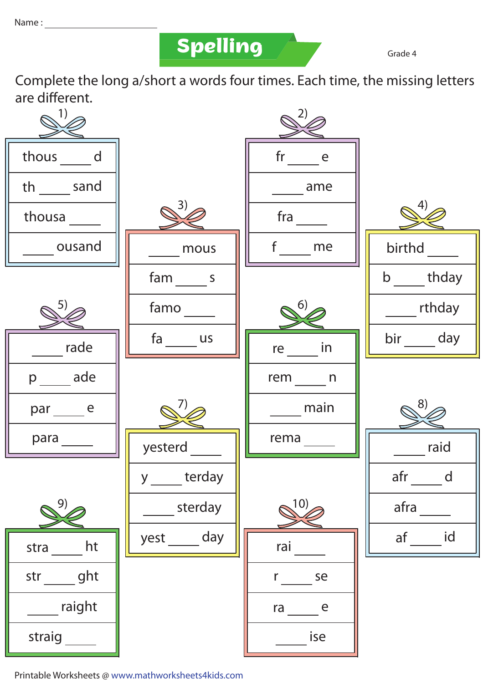**Spelling Grade 4** 

Complete the long a/short a words four times. Each time, the missing letters are different.

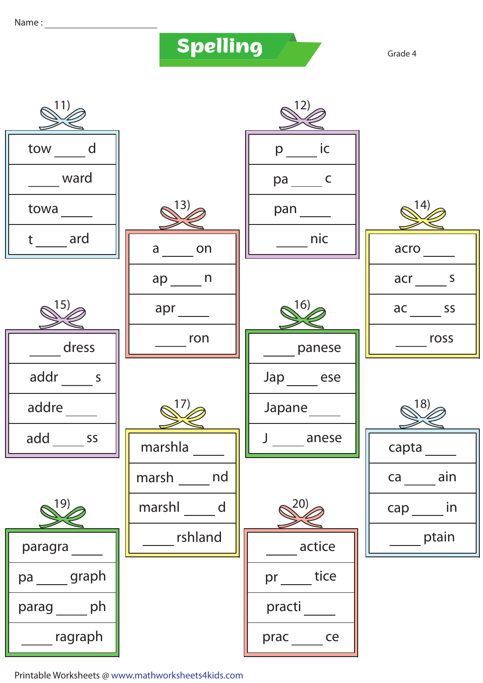Name:

## Spelling

Grade 4

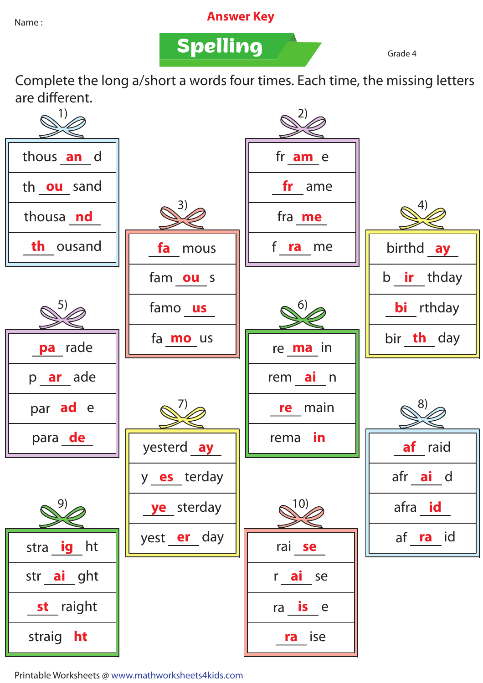## Name : **Answer Key**

**Spelling Grade 4** 

Complete the long a/short a words four times. Each time, the missing letters are different.